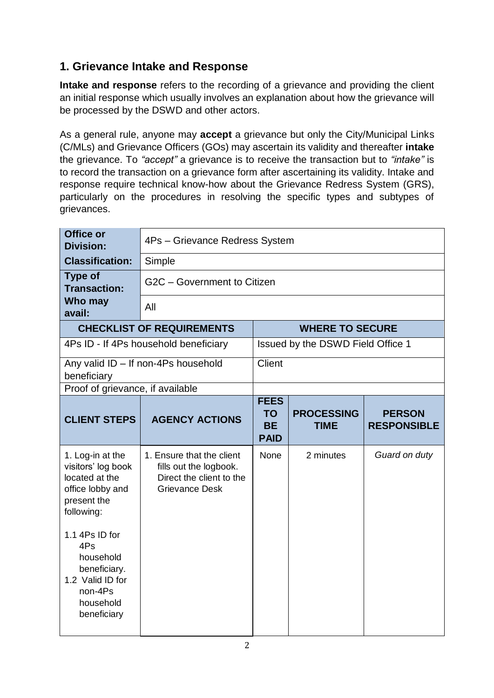## **1. Grievance Intake and Response**

**Intake and response** refers to the recording of a grievance and providing the client an initial response which usually involves an explanation about how the grievance will be processed by the DSWD and other actors.

As a general rule, anyone may **accept** a grievance but only the City/Municipal Links (C/MLs) and Grievance Officers (GOs) may ascertain its validity and thereafter **intake** the grievance. To *"accept"* a grievance is to receive the transaction but to *"intake"* is to record the transaction on a grievance form after ascertaining its validity. Intake and response require technical know-how about the Grievance Redress System (GRS), particularly on the procedures in resolving the specific types and subtypes of grievances.

| Office or<br><b>Division:</b>                                                                                                                                                                                              | 4Ps - Grievance Redress System                                                                           |                                                      |                                   |                                     |
|----------------------------------------------------------------------------------------------------------------------------------------------------------------------------------------------------------------------------|----------------------------------------------------------------------------------------------------------|------------------------------------------------------|-----------------------------------|-------------------------------------|
| <b>Classification:</b>                                                                                                                                                                                                     | Simple                                                                                                   |                                                      |                                   |                                     |
| <b>Type of</b><br><b>Transaction:</b>                                                                                                                                                                                      | G2C - Government to Citizen                                                                              |                                                      |                                   |                                     |
| Who may<br>avail:                                                                                                                                                                                                          | All                                                                                                      |                                                      |                                   |                                     |
|                                                                                                                                                                                                                            | <b>CHECKLIST OF REQUIREMENTS</b>                                                                         |                                                      | <b>WHERE TO SECURE</b>            |                                     |
|                                                                                                                                                                                                                            | 4Ps ID - If 4Ps household beneficiary                                                                    |                                                      | Issued by the DSWD Field Office 1 |                                     |
| beneficiary                                                                                                                                                                                                                | Any valid ID - If non-4Ps household                                                                      | <b>Client</b>                                        |                                   |                                     |
| Proof of grievance, if available                                                                                                                                                                                           |                                                                                                          |                                                      |                                   |                                     |
| <b>CLIENT STEPS</b>                                                                                                                                                                                                        | <b>AGENCY ACTIONS</b>                                                                                    | <b>FEES</b><br><b>TO</b><br><b>BE</b><br><b>PAID</b> | <b>PROCESSING</b><br><b>TIME</b>  | <b>PERSON</b><br><b>RESPONSIBLE</b> |
| 1. Log-in at the<br>visitors' log book<br>located at the<br>office lobby and<br>present the<br>following:<br>1.1 4Ps ID for<br>4Ps<br>household<br>beneficiary.<br>1.2 Valid ID for<br>non-4Ps<br>household<br>beneficiary | 1. Ensure that the client<br>fills out the logbook.<br>Direct the client to the<br><b>Grievance Desk</b> | None                                                 | 2 minutes                         | Guard on duty                       |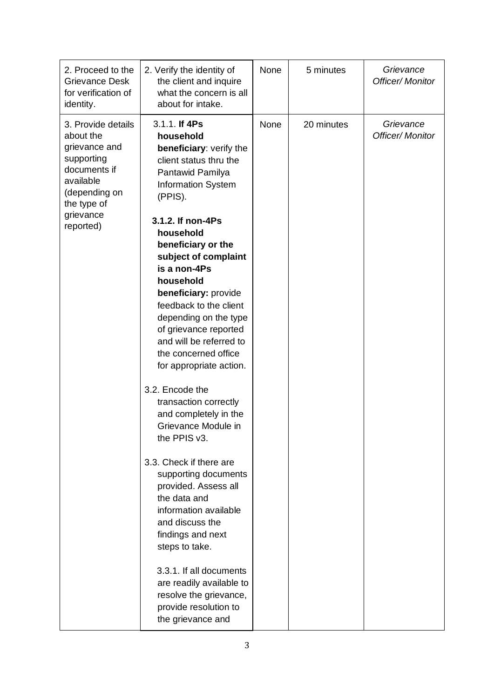| 2. Proceed to the<br><b>Grievance Desk</b><br>for verification of<br>identity.                                                                        | 2. Verify the identity of<br>the client and inquire<br>what the concern is all<br>about for intake.                                                                                                                                                                                                                                                                                                                                                                                                                                                                                                                                                                                                                                                                                                                                                                 | None | 5 minutes  | Grievance<br><b>Officer/ Monitor</b> |
|-------------------------------------------------------------------------------------------------------------------------------------------------------|---------------------------------------------------------------------------------------------------------------------------------------------------------------------------------------------------------------------------------------------------------------------------------------------------------------------------------------------------------------------------------------------------------------------------------------------------------------------------------------------------------------------------------------------------------------------------------------------------------------------------------------------------------------------------------------------------------------------------------------------------------------------------------------------------------------------------------------------------------------------|------|------------|--------------------------------------|
| 3. Provide details<br>about the<br>grievance and<br>supporting<br>documents if<br>available<br>(depending on<br>the type of<br>grievance<br>reported) | 3.1.1. If 4Ps<br>household<br>beneficiary: verify the<br>client status thru the<br>Pantawid Pamilya<br><b>Information System</b><br>(PPIS).<br>3.1.2. If non-4Ps<br>household<br>beneficiary or the<br>subject of complaint<br>is a non-4Ps<br>household<br>beneficiary: provide<br>feedback to the client<br>depending on the type<br>of grievance reported<br>and will be referred to<br>the concerned office<br>for appropriate action.<br>3.2. Encode the<br>transaction correctly<br>and completely in the<br>Grievance Module in<br>the PPIS v3.<br>3.3. Check if there are<br>supporting documents<br>provided. Assess all<br>the data and<br>information available<br>and discuss the<br>findings and next<br>steps to take.<br>3.3.1. If all documents<br>are readily available to<br>resolve the grievance,<br>provide resolution to<br>the grievance and | None | 20 minutes | Grievance<br><b>Officer/ Monitor</b> |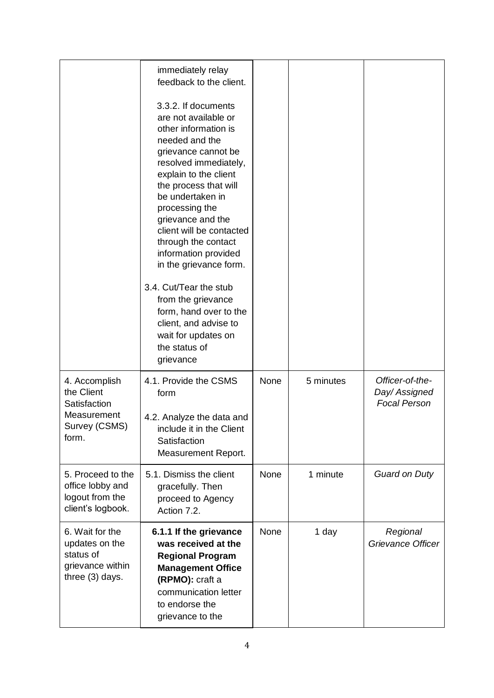|                                                                                       | immediately relay<br>feedback to the client.<br>3.3.2. If documents<br>are not available or<br>other information is<br>needed and the<br>grievance cannot be<br>resolved immediately,<br>explain to the client<br>the process that will<br>be undertaken in<br>processing the<br>grievance and the<br>client will be contacted<br>through the contact<br>information provided<br>in the grievance form.<br>3.4. Cut/Tear the stub<br>from the grievance<br>form, hand over to the<br>client, and advise to<br>wait for updates on<br>the status of<br>grievance |             |           |                                                         |
|---------------------------------------------------------------------------------------|-----------------------------------------------------------------------------------------------------------------------------------------------------------------------------------------------------------------------------------------------------------------------------------------------------------------------------------------------------------------------------------------------------------------------------------------------------------------------------------------------------------------------------------------------------------------|-------------|-----------|---------------------------------------------------------|
| 4. Accomplish<br>the Client<br>Satisfaction<br>Measurement<br>Survey (CSMS)<br>form.  | 4.1. Provide the CSMS<br>form<br>4.2. Analyze the data and<br>include it in the Client<br>Satisfaction<br>Measurement Report.                                                                                                                                                                                                                                                                                                                                                                                                                                   | None        | 5 minutes | Officer-of-the-<br>Day/ Assigned<br><b>Focal Person</b> |
| 5. Proceed to the<br>office lobby and<br>logout from the<br>client's logbook.         | 5.1. Dismiss the client<br>gracefully. Then<br>proceed to Agency<br>Action 7.2.                                                                                                                                                                                                                                                                                                                                                                                                                                                                                 | <b>None</b> | 1 minute  | <b>Guard on Duty</b>                                    |
| 6. Wait for the<br>updates on the<br>status of<br>grievance within<br>three (3) days. | 6.1.1 If the grievance<br>was received at the<br><b>Regional Program</b><br><b>Management Office</b><br>(RPMO): craft a<br>communication letter<br>to endorse the<br>grievance to the                                                                                                                                                                                                                                                                                                                                                                           | None        | 1 day     | Regional<br>Grievance Officer                           |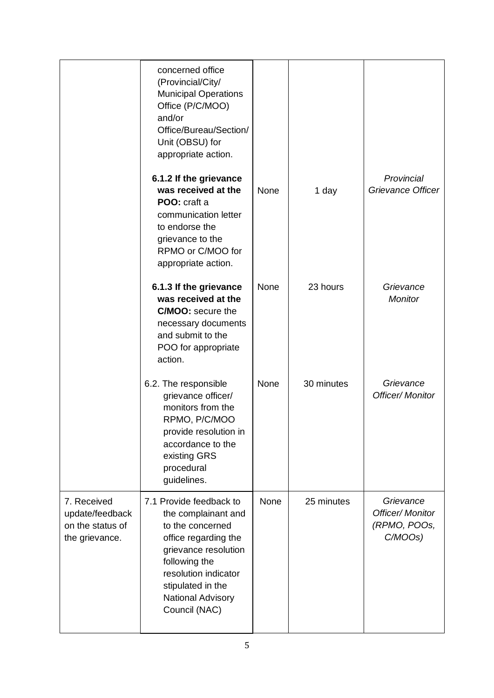|                                                                      | concerned office<br>(Provincial/City/<br><b>Municipal Operations</b><br>Office (P/C/MOO)<br>and/or<br>Office/Bureau/Section/<br>Unit (OBSU) for<br>appropriate action.<br>6.1.2 If the grievance                              |      |            | Provincial                                                         |
|----------------------------------------------------------------------|-------------------------------------------------------------------------------------------------------------------------------------------------------------------------------------------------------------------------------|------|------------|--------------------------------------------------------------------|
|                                                                      | was received at the<br>POO: craft a<br>communication letter<br>to endorse the<br>grievance to the<br>RPMO or C/MOO for<br>appropriate action.                                                                                 | None | 1 day      | Grievance Officer                                                  |
|                                                                      | 6.1.3 If the grievance<br>was received at the<br><b>C/MOO:</b> secure the<br>necessary documents<br>and submit to the<br>POO for appropriate<br>action.                                                                       | None | 23 hours   | Grievance<br><b>Monitor</b>                                        |
|                                                                      | 6.2. The responsible<br>grievance officer/<br>monitors from the<br>RPMO, P/C/MOO<br>provide resolution in<br>accordance to the<br>existing GRS<br>procedural<br>guidelines.                                                   | None | 30 minutes | Grievance<br><b>Officer/ Monitor</b>                               |
| 7. Received<br>update/feedback<br>on the status of<br>the grievance. | 7.1 Provide feedback to<br>the complainant and<br>to the concerned<br>office regarding the<br>grievance resolution<br>following the<br>resolution indicator<br>stipulated in the<br><b>National Advisory</b><br>Council (NAC) | None | 25 minutes | Grievance<br><b>Officer/ Monitor</b><br>(RPMO, POOs,<br>$C/MOOs$ ) |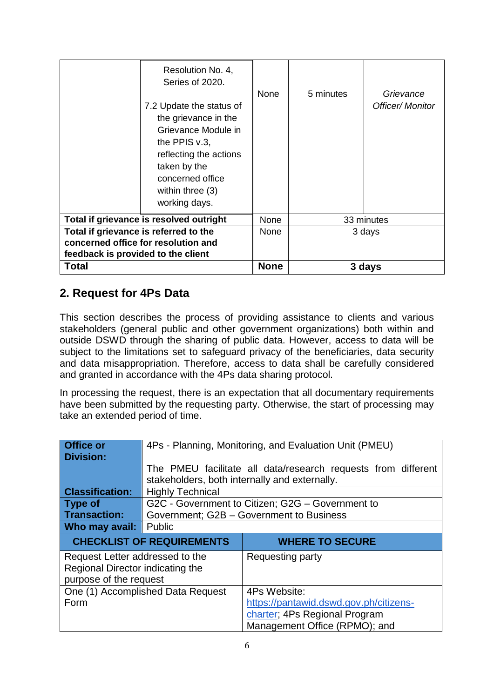| concerned office for resolution and<br>feedback is provided to the client |                                                                                                                                                                                                  |           |                                      |  |
|---------------------------------------------------------------------------|--------------------------------------------------------------------------------------------------------------------------------------------------------------------------------------------------|-----------|--------------------------------------|--|
| Total if grievance is referred to the                                     |                                                                                                                                                                                                  |           | 3 days                               |  |
| Total if grievance is resolved outright                                   |                                                                                                                                                                                                  |           | 33 minutes                           |  |
| the PPIS $v.3$ ,<br>taken by the<br>working days.                         | Resolution No. 4,<br>Series of 2020.<br><b>None</b><br>7.2 Update the status of<br>the grievance in the<br>Grievance Module in<br>reflecting the actions<br>concerned office<br>within three (3) | 5 minutes | Grievance<br><b>Officer/ Monitor</b> |  |

## **2. Request for 4Ps Data**

This section describes the process of providing assistance to clients and various stakeholders (general public and other government organizations) both within and outside DSWD through the sharing of public data. However, access to data will be subject to the limitations set to safeguard privacy of the beneficiaries, data security and data misappropriation. Therefore, access to data shall be carefully considered and granted in accordance with the 4Ps data sharing protocol.

In processing the request, there is an expectation that all documentary requirements have been submitted by the requesting party. Otherwise, the start of processing may take an extended period of time.

| <b>Office or</b>                 | 4Ps - Planning, Monitoring, and Evaluation Unit (PMEU)     |                                                               |  |  |  |
|----------------------------------|------------------------------------------------------------|---------------------------------------------------------------|--|--|--|
| <b>Division:</b>                 |                                                            |                                                               |  |  |  |
|                                  |                                                            | The PMEU facilitate all data/research requests from different |  |  |  |
|                                  | stakeholders, both internally and externally.              |                                                               |  |  |  |
| <b>Classification:</b>           | <b>Highly Technical</b>                                    |                                                               |  |  |  |
| <b>Type of</b>                   |                                                            | G2C - Government to Citizen; G2G - Government to              |  |  |  |
| <b>Transaction:</b>              |                                                            | Government; G2B - Government to Business                      |  |  |  |
| Who may avail:                   | Public                                                     |                                                               |  |  |  |
|                                  | <b>CHECKLIST OF REQUIREMENTS</b><br><b>WHERE TO SECURE</b> |                                                               |  |  |  |
|                                  |                                                            |                                                               |  |  |  |
| Request Letter addressed to the  |                                                            | Requesting party                                              |  |  |  |
| Regional Director indicating the |                                                            |                                                               |  |  |  |
| purpose of the request           |                                                            |                                                               |  |  |  |
|                                  | One (1) Accomplished Data Request                          | 4Ps Website:                                                  |  |  |  |
| Form                             |                                                            | https://pantawid.dswd.gov.ph/citizens-                        |  |  |  |
|                                  |                                                            | charter; 4Ps Regional Program                                 |  |  |  |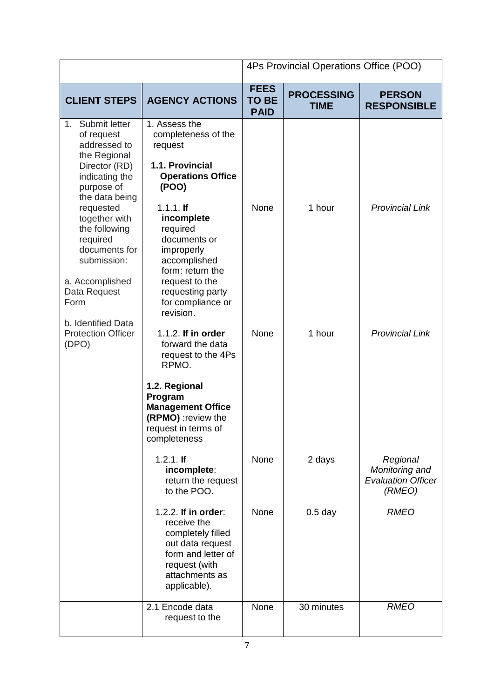|                                                                                                                                                                                                                                                                                                                                        |                                                                                                                                                                                                                                                                                                                                                                                                                                                                                           | 4Ps Provincial Operations Office (POO)     |                                  |                                                                   |
|----------------------------------------------------------------------------------------------------------------------------------------------------------------------------------------------------------------------------------------------------------------------------------------------------------------------------------------|-------------------------------------------------------------------------------------------------------------------------------------------------------------------------------------------------------------------------------------------------------------------------------------------------------------------------------------------------------------------------------------------------------------------------------------------------------------------------------------------|--------------------------------------------|----------------------------------|-------------------------------------------------------------------|
| <b>CLIENT STEPS</b>                                                                                                                                                                                                                                                                                                                    | <b>AGENCY ACTIONS</b>                                                                                                                                                                                                                                                                                                                                                                                                                                                                     | <b>FEES</b><br><b>TO BE</b><br><b>PAID</b> | <b>PROCESSING</b><br><b>TIME</b> | <b>PERSON</b><br><b>RESPONSIBLE</b>                               |
| Submit letter<br>1.<br>of request<br>addressed to<br>the Regional<br>Director (RD)<br>indicating the<br>purpose of<br>the data being<br>requested<br>together with<br>the following<br>required<br>documents for<br>submission:<br>a. Accomplished<br>Data Request<br>Form<br>b. Identified Data<br><b>Protection Officer</b><br>(DPO) | 1. Assess the<br>completeness of the<br>request<br>1.1. Provincial<br><b>Operations Office</b><br>(POO)<br>$1.1.1.$ If<br>incomplete<br>required<br>documents or<br>improperly<br>accomplished<br>form: return the<br>request to the<br>requesting party<br>for compliance or<br>revision.<br>1.1.2. If in order<br>forward the data<br>request to the 4Ps<br>RPMO.<br>1.2. Regional<br>Program<br><b>Management Office</b><br>(RPMO) : review the<br>request in terms of<br>completeness | None<br>None                               | 1 hour<br>1 hour                 | <b>Provincial Link</b><br><b>Provincial Link</b>                  |
|                                                                                                                                                                                                                                                                                                                                        | $1.2.1.$ If<br>incomplete:<br>return the request<br>to the POO.                                                                                                                                                                                                                                                                                                                                                                                                                           | None                                       | 2 days                           | Regional<br>Monitoring and<br><b>Evaluation Officer</b><br>(RMEO) |
|                                                                                                                                                                                                                                                                                                                                        | 1.2.2. If in order:<br>receive the<br>completely filled<br>out data request<br>form and letter of<br>request (with<br>attachments as<br>applicable).                                                                                                                                                                                                                                                                                                                                      | None                                       | $0.5$ day                        | <b>RMEO</b>                                                       |
|                                                                                                                                                                                                                                                                                                                                        | 2.1 Encode data<br>request to the                                                                                                                                                                                                                                                                                                                                                                                                                                                         | None                                       | 30 minutes                       | <b>RMEO</b>                                                       |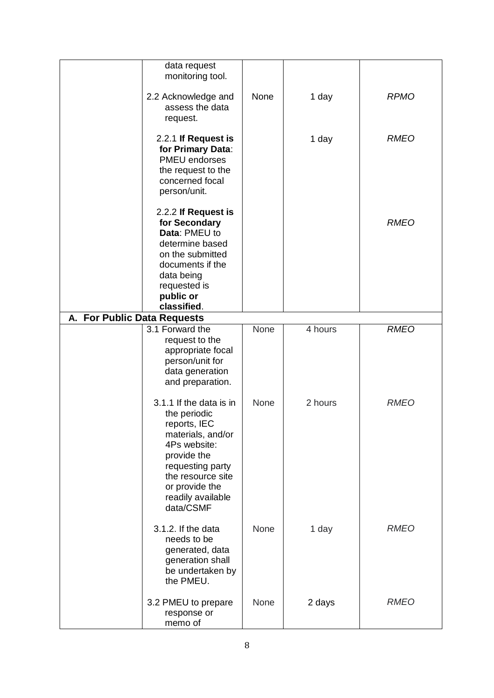|                             | data request<br>monitoring tool.                                                                                                                                                                         |             |         |             |
|-----------------------------|----------------------------------------------------------------------------------------------------------------------------------------------------------------------------------------------------------|-------------|---------|-------------|
|                             | 2.2 Acknowledge and<br>assess the data<br>request.                                                                                                                                                       | None        | 1 day   | <b>RPMO</b> |
|                             | 2.2.1 If Request is<br>for Primary Data:<br><b>PMEU</b> endorses<br>the request to the                                                                                                                   |             | 1 day   | <b>RMEO</b> |
|                             | concerned focal<br>person/unit.                                                                                                                                                                          |             |         |             |
|                             | 2.2.2 If Request is<br>for Secondary<br>Data: PMEU to<br>determine based<br>on the submitted<br>documents if the<br>data being<br>requested is<br>public or<br>classified.                               |             |         | <b>RMEO</b> |
| A. For Public Data Requests |                                                                                                                                                                                                          |             |         |             |
|                             | 3.1 Forward the<br>request to the<br>appropriate focal<br>person/unit for<br>data generation<br>and preparation.                                                                                         | None        | 4 hours | <b>RMEO</b> |
|                             | 3.1.1 If the data is in<br>the periodic<br>reports, IEC<br>materials, and/or<br>4Ps website:<br>provide the<br>requesting party<br>the resource site<br>or provide the<br>readily available<br>data/CSMF | <b>None</b> | 2 hours | <b>RMEO</b> |
|                             | 3.1.2. If the data<br>needs to be<br>generated, data<br>generation shall<br>be undertaken by<br>the PMEU.                                                                                                | None        | 1 day   | <b>RMEO</b> |
|                             | 3.2 PMEU to prepare<br>response or<br>memo of                                                                                                                                                            | None        | 2 days  | <b>RMEO</b> |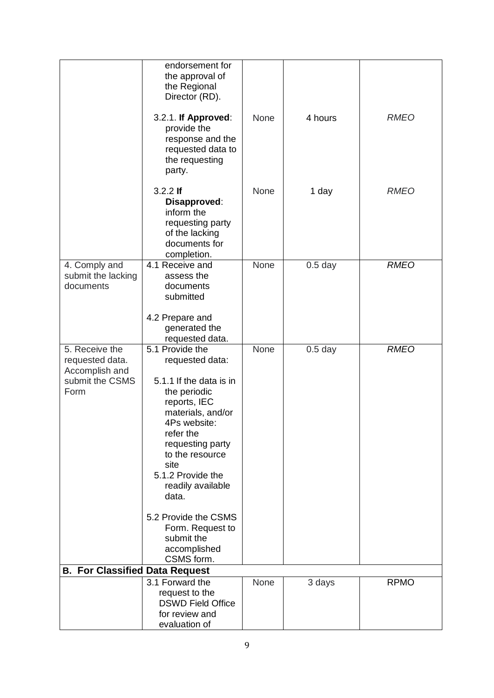|                                                                                | endorsement for<br>the approval of<br>the Regional<br>Director (RD).                                                                                                                                                                                                                                                                      |      |           |             |
|--------------------------------------------------------------------------------|-------------------------------------------------------------------------------------------------------------------------------------------------------------------------------------------------------------------------------------------------------------------------------------------------------------------------------------------|------|-----------|-------------|
|                                                                                | 3.2.1. If Approved:<br>provide the<br>response and the<br>requested data to<br>the requesting<br>party.                                                                                                                                                                                                                                   | None | 4 hours   | <b>RMEO</b> |
|                                                                                | $3.2.2$ If<br>Disapproved:<br>inform the<br>requesting party<br>of the lacking<br>documents for<br>completion.                                                                                                                                                                                                                            | None | 1 day     | <b>RMEO</b> |
| 4. Comply and<br>submit the lacking<br>documents                               | 4.1 Receive and<br>assess the<br>documents<br>submitted<br>4.2 Prepare and<br>generated the                                                                                                                                                                                                                                               | None | $0.5$ day | <b>RMEO</b> |
|                                                                                | requested data.                                                                                                                                                                                                                                                                                                                           |      |           |             |
| 5. Receive the<br>requested data.<br>Accomplish and<br>submit the CSMS<br>Form | 5.1 Provide the<br>requested data:<br>5.1.1 If the data is in<br>the periodic<br>reports, IEC<br>materials, and/or<br>4Ps website:<br>refer the<br>requesting party<br>to the resource<br>site<br>5.1.2 Provide the<br>readily available<br>data.<br>5.2 Provide the CSMS<br>Form. Request to<br>submit the<br>accomplished<br>CSMS form. | None | $0.5$ day | <b>RMEO</b> |
| <b>B. For Classified Data Request</b>                                          |                                                                                                                                                                                                                                                                                                                                           |      |           |             |
|                                                                                | 3.1 Forward the<br>request to the<br><b>DSWD Field Office</b><br>for review and<br>evaluation of                                                                                                                                                                                                                                          | None | 3 days    | <b>RPMO</b> |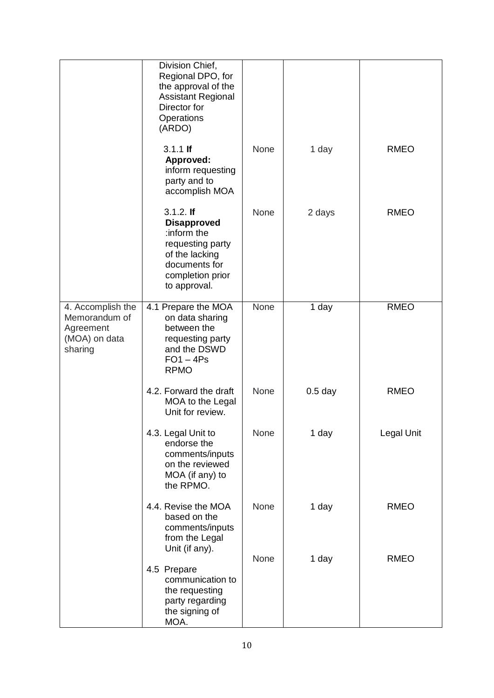|                                                                             | Division Chief,<br>Regional DPO, for<br>the approval of the<br><b>Assistant Regional</b><br>Director for<br>Operations<br>(ARDO)            |             |           |             |
|-----------------------------------------------------------------------------|---------------------------------------------------------------------------------------------------------------------------------------------|-------------|-----------|-------------|
|                                                                             | $3.1.1$ If<br>Approved:<br>inform requesting<br>party and to<br>accomplish MOA                                                              | None        | 1 day     | <b>RMEO</b> |
|                                                                             | $3.1.2.$ If<br><b>Disapproved</b><br>:inform the<br>requesting party<br>of the lacking<br>documents for<br>completion prior<br>to approval. | <b>None</b> | 2 days    | <b>RMEO</b> |
| 4. Accomplish the<br>Memorandum of<br>Agreement<br>(MOA) on data<br>sharing | 4.1 Prepare the MOA<br>on data sharing<br>between the<br>requesting party<br>and the DSWD<br>$FO1 - 4Ps$<br><b>RPMO</b>                     | None        | 1 day     | <b>RMEO</b> |
|                                                                             | 4.2. Forward the draft<br>MOA to the Legal<br>Unit for review.                                                                              | <b>None</b> | $0.5$ day | <b>RMEO</b> |
|                                                                             | 4.3. Legal Unit to<br>endorse the<br>comments/inputs<br>on the reviewed<br>MOA (if any) to<br>the RPMO.                                     | None        | 1 day     | Legal Unit  |
|                                                                             | 4.4. Revise the MOA<br>based on the<br>comments/inputs<br>from the Legal<br>Unit (if any).                                                  | None        | 1 day     | <b>RMEO</b> |
|                                                                             | 4.5 Prepare<br>communication to<br>the requesting<br>party regarding<br>the signing of<br>MOA.                                              | None        | 1 day     | <b>RMEO</b> |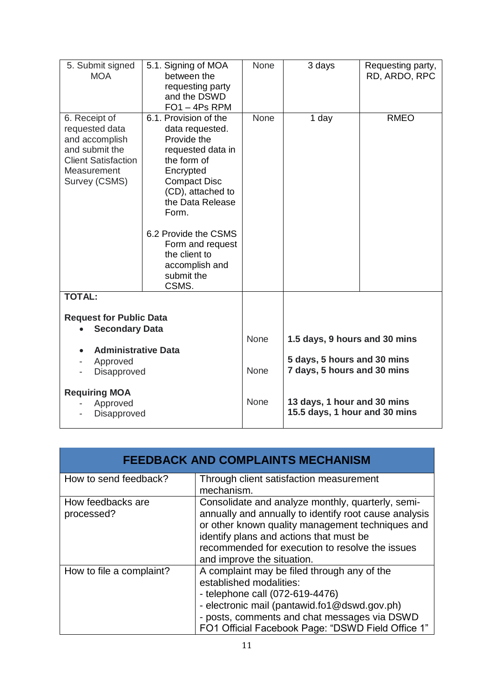| 5. Submit signed<br><b>MOA</b>                                                                                                    | 5.1. Signing of MOA<br>between the<br>requesting party<br>and the DSWD<br>$FO1 - 4Ps$ RPM                                                                                                                                                                                               | <b>None</b> | 3 days                                                       | Requesting party,<br>RD, ARDO, RPC |
|-----------------------------------------------------------------------------------------------------------------------------------|-----------------------------------------------------------------------------------------------------------------------------------------------------------------------------------------------------------------------------------------------------------------------------------------|-------------|--------------------------------------------------------------|------------------------------------|
| 6. Receipt of<br>requested data<br>and accomplish<br>and submit the<br><b>Client Satisfaction</b><br>Measurement<br>Survey (CSMS) | 6.1. Provision of the<br>data requested.<br>Provide the<br>requested data in<br>the form of<br>Encrypted<br><b>Compact Disc</b><br>(CD), attached to<br>the Data Release<br>Form.<br>6.2 Provide the CSMS<br>Form and request<br>the client to<br>accomplish and<br>submit the<br>CSMS. | <b>None</b> | 1 day                                                        | <b>RMEO</b>                        |
| <b>TOTAL:</b>                                                                                                                     |                                                                                                                                                                                                                                                                                         |             |                                                              |                                    |
| <b>Request for Public Data</b><br><b>Secondary Data</b>                                                                           |                                                                                                                                                                                                                                                                                         |             |                                                              |                                    |
| <b>Administrative Data</b>                                                                                                        |                                                                                                                                                                                                                                                                                         | None        | 1.5 days, 9 hours and 30 mins                                |                                    |
| Approved<br>Disapproved                                                                                                           |                                                                                                                                                                                                                                                                                         | <b>None</b> | 5 days, 5 hours and 30 mins<br>7 days, 5 hours and 30 mins   |                                    |
| <b>Requiring MOA</b><br>Approved<br>Disapproved                                                                                   |                                                                                                                                                                                                                                                                                         | <b>None</b> | 13 days, 1 hour and 30 mins<br>15.5 days, 1 hour and 30 mins |                                    |

|                                 | <b>FEEDBACK AND COMPLAINTS MECHANISM</b>                                                                                                                                                                                                                                                   |
|---------------------------------|--------------------------------------------------------------------------------------------------------------------------------------------------------------------------------------------------------------------------------------------------------------------------------------------|
| How to send feedback?           | Through client satisfaction measurement<br>mechanism.                                                                                                                                                                                                                                      |
| How feedbacks are<br>processed? | Consolidate and analyze monthly, quarterly, semi-<br>annually and annually to identify root cause analysis<br>or other known quality management techniques and<br>identify plans and actions that must be<br>recommended for execution to resolve the issues<br>and improve the situation. |
| How to file a complaint?        | A complaint may be filed through any of the<br>established modalities:<br>- telephone call (072-619-4476)<br>- electronic mail (pantawid.fo1@dswd.gov.ph)<br>- posts, comments and chat messages via DSWD<br>FO1 Official Facebook Page: "DSWD Field Office 1"                             |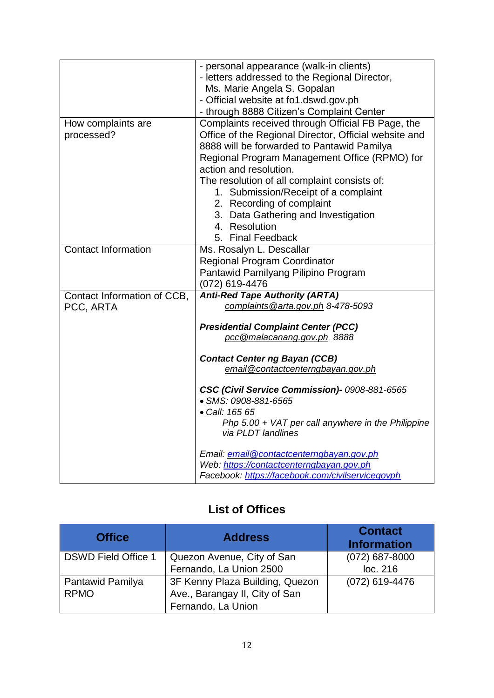|                             | - personal appearance (walk-in clients)               |  |  |
|-----------------------------|-------------------------------------------------------|--|--|
|                             | - letters addressed to the Regional Director,         |  |  |
|                             | Ms. Marie Angela S. Gopalan                           |  |  |
|                             | - Official website at fo1.dswd.gov.ph                 |  |  |
|                             | - through 8888 Citizen's Complaint Center             |  |  |
| How complaints are          | Complaints received through Official FB Page, the     |  |  |
| processed?                  | Office of the Regional Director, Official website and |  |  |
|                             | 8888 will be forwarded to Pantawid Pamilya            |  |  |
|                             | Regional Program Management Office (RPMO) for         |  |  |
|                             | action and resolution.                                |  |  |
|                             | The resolution of all complaint consists of:          |  |  |
|                             | 1. Submission/Receipt of a complaint                  |  |  |
|                             | 2. Recording of complaint                             |  |  |
|                             | 3. Data Gathering and Investigation                   |  |  |
|                             | 4. Resolution                                         |  |  |
|                             |                                                       |  |  |
|                             | 5. Final Feedback                                     |  |  |
| <b>Contact Information</b>  | Ms. Rosalyn L. Descallar                              |  |  |
|                             | <b>Regional Program Coordinator</b>                   |  |  |
|                             | Pantawid Pamilyang Pilipino Program                   |  |  |
|                             | (072) 619-4476                                        |  |  |
| Contact Information of CCB, | <b>Anti-Red Tape Authority (ARTA)</b>                 |  |  |
| PCC, ARTA                   | complaints @arta.gov.ph 8-478-5093                    |  |  |
|                             |                                                       |  |  |
|                             | <b>Presidential Complaint Center (PCC)</b>            |  |  |
|                             | pcc@malacanang.gov.ph 8888                            |  |  |
|                             | <b>Contact Center ng Bayan (CCB)</b>                  |  |  |
|                             | email@contactcenterngbayan.gov.ph                     |  |  |
|                             |                                                       |  |  |
|                             | CSC (Civil Service Commission)- 0908-881-6565         |  |  |
|                             | • SMS: 0908-881-6565                                  |  |  |
|                             | • Call: 165 65                                        |  |  |
|                             | Php $5.00 + VAT$ per call anywhere in the Philippine  |  |  |
|                             | via PLDT landlines                                    |  |  |
|                             |                                                       |  |  |
|                             | Email: email@contactcenterngbayan.gov.ph              |  |  |
|                             | Web: https://contactcenterngbayan.gov.ph              |  |  |
|                             | Facebook: https://facebook.com/civilservicegovph      |  |  |

## **List of Offices**

| <b>Office</b>              | <b>Address</b>                  | <b>Contact</b><br><b>Information</b> |
|----------------------------|---------------------------------|--------------------------------------|
| <b>DSWD Field Office 1</b> | Quezon Avenue, City of San      | $(072)$ 687-8000                     |
|                            | Fernando, La Union 2500         | loc. 216                             |
| Pantawid Pamilya           | 3F Kenny Plaza Building, Quezon | (072) 619-4476                       |
| <b>RPMO</b>                | Ave., Barangay II, City of San  |                                      |
|                            | Fernando, La Union              |                                      |